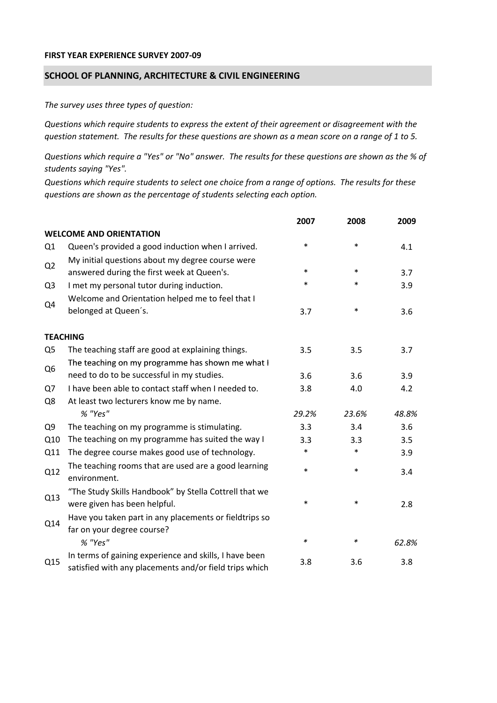## **FIRST YEAR EXPERIENCE SURVEY 2007‐09**

## **SCHOOL OF PLANNING, ARCHITECTURE & CIVIL ENGINEERING**

*The survey uses three types of question:*

*Questions which require students to express the extent of their agreement or disagreement with the* question statement. The results for these questions are shown as a mean score on a range of 1 to 5.

Questions which require a "Yes" or "No" answer. The results for these questions are shown as the % of *students saying "Yes".*

Questions which require students to select one choice from a range of options. The results for these *questions are shown as the percentage of students selecting each option.*

|                |                                                                                                                  | 2007   | 2008   | 2009  |
|----------------|------------------------------------------------------------------------------------------------------------------|--------|--------|-------|
|                | <b>WELCOME AND ORIENTATION</b>                                                                                   |        |        |       |
| Q1             | Queen's provided a good induction when I arrived.                                                                | $\ast$ | $\ast$ | 4.1   |
| Q2             | My initial questions about my degree course were<br>answered during the first week at Queen's.                   | $\ast$ | $\ast$ | 3.7   |
| Q <sub>3</sub> | I met my personal tutor during induction.                                                                        | $\ast$ | $\ast$ | 3.9   |
| Q4             | Welcome and Orientation helped me to feel that I                                                                 |        |        |       |
|                | belonged at Queen's.                                                                                             | 3.7    | $\ast$ | 3.6   |
|                | <b>TEACHING</b>                                                                                                  |        |        |       |
| Q <sub>5</sub> | The teaching staff are good at explaining things.                                                                | 3.5    | 3.5    | 3.7   |
| Q <sub>6</sub> | The teaching on my programme has shown me what I                                                                 |        |        |       |
|                | need to do to be successful in my studies.                                                                       | 3.6    | 3.6    | 3.9   |
| Q7             | I have been able to contact staff when I needed to.                                                              | 3.8    | 4.0    | 4.2   |
| Q8             | At least two lecturers know me by name.                                                                          |        |        |       |
|                | % "Yes"                                                                                                          | 29.2%  | 23.6%  | 48.8% |
| Q <sub>9</sub> | The teaching on my programme is stimulating.                                                                     | 3.3    | 3.4    | 3.6   |
| Q10            | The teaching on my programme has suited the way I                                                                | 3.3    | 3.3    | 3.5   |
| Q11            | The degree course makes good use of technology.                                                                  | $\ast$ | $\ast$ | 3.9   |
| Q12            | The teaching rooms that are used are a good learning<br>environment.                                             | $\ast$ | $\ast$ | 3.4   |
| Q13            | "The Study Skills Handbook" by Stella Cottrell that we<br>were given has been helpful.                           | $\ast$ | $\ast$ | 2.8   |
| Q14            | Have you taken part in any placements or fieldtrips so<br>far on your degree course?                             |        |        |       |
|                | % "Yes"                                                                                                          | $\ast$ | ∗      | 62.8% |
| Q15            | In terms of gaining experience and skills, I have been<br>satisfied with any placements and/or field trips which | 3.8    | 3.6    | 3.8   |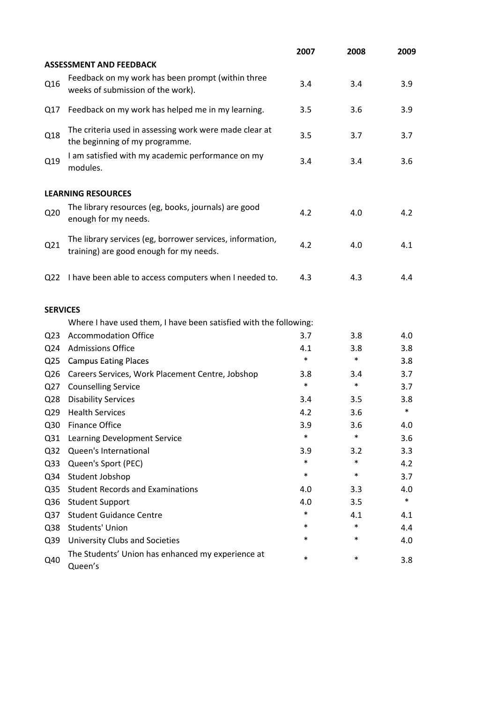|                 |                                                                                                      | 2007   | 2008   | 2009   |
|-----------------|------------------------------------------------------------------------------------------------------|--------|--------|--------|
|                 | <b>ASSESSMENT AND FEEDBACK</b>                                                                       |        |        |        |
| Q16             | Feedback on my work has been prompt (within three<br>weeks of submission of the work).               | 3.4    | 3.4    | 3.9    |
| Q17             | Feedback on my work has helped me in my learning.                                                    | 3.5    | 3.6    | 3.9    |
| Q18             | The criteria used in assessing work were made clear at<br>the beginning of my programme.             | 3.5    | 3.7    | 3.7    |
| Q19             | I am satisfied with my academic performance on my<br>modules.                                        | 3.4    | 3.4    | 3.6    |
|                 | <b>LEARNING RESOURCES</b>                                                                            |        |        |        |
| Q <sub>20</sub> | The library resources (eg, books, journals) are good<br>enough for my needs.                         | 4.2    | 4.0    | 4.2    |
| Q21             | The library services (eg, borrower services, information,<br>training) are good enough for my needs. | 4.2    | 4.0    | 4.1    |
| Q <sub>22</sub> | I have been able to access computers when I needed to.                                               | 4.3    | 4.3    | 4.4    |
| <b>SERVICES</b> |                                                                                                      |        |        |        |
|                 | Where I have used them, I have been satisfied with the following:                                    |        |        |        |
| Q <sub>23</sub> | <b>Accommodation Office</b>                                                                          | 3.7    | 3.8    | 4.0    |
| Q24             | <b>Admissions Office</b>                                                                             | 4.1    | 3.8    | 3.8    |
| Q <sub>25</sub> | <b>Campus Eating Places</b>                                                                          | $\ast$ | $\ast$ | 3.8    |
| Q <sub>26</sub> | Careers Services, Work Placement Centre, Jobshop                                                     | 3.8    | 3.4    | 3.7    |
| Q27             | <b>Counselling Service</b>                                                                           | $\ast$ | $\ast$ | 3.7    |
| Q <sub>28</sub> | <b>Disability Services</b>                                                                           | 3.4    | 3.5    | 3.8    |
| Q <sub>29</sub> | <b>Health Services</b>                                                                               | 4.2    | 3.6    | $\ast$ |
| Q30             | <b>Finance Office</b>                                                                                | 3.9    | 3.6    | 4.0    |
| Q <sub>31</sub> | Learning Development Service                                                                         | $\ast$ | $\ast$ | 3.6    |
| Q <sub>32</sub> | Queen's International                                                                                | 3.9    | 3.2    | 3.3    |
| Q <sub>33</sub> | Queen's Sport (PEC)                                                                                  | $\ast$ | $\ast$ | 4.2    |
| Q34             | Student Jobshop                                                                                      | $\ast$ | $\ast$ | 3.7    |
| Q <sub>35</sub> | <b>Student Records and Examinations</b>                                                              | 4.0    | 3.3    | 4.0    |
| Q36             | <b>Student Support</b>                                                                               | 4.0    | 3.5    | $\ast$ |
| Q <sub>37</sub> | <b>Student Guidance Centre</b>                                                                       | $\ast$ | 4.1    | 4.1    |
| Q38             | <b>Students' Union</b>                                                                               | *      | $\ast$ | 4.4    |
| Q39             | University Clubs and Societies                                                                       | *      | $\ast$ | 4.0    |
| Q40             | The Students' Union has enhanced my experience at<br>Queen's                                         | $\ast$ | $\ast$ | 3.8    |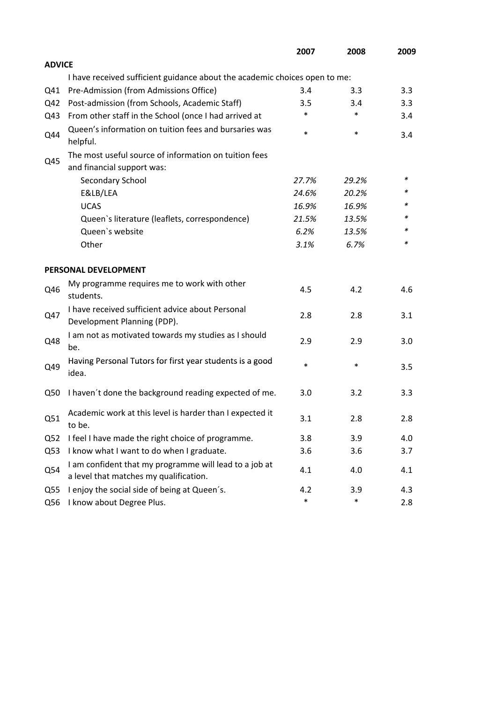|                 |                                                                                                  | 2007   | 2008   | 2009 |
|-----------------|--------------------------------------------------------------------------------------------------|--------|--------|------|
| <b>ADVICE</b>   |                                                                                                  |        |        |      |
|                 | I have received sufficient guidance about the academic choices open to me:                       |        |        |      |
| Q41             | Pre-Admission (from Admissions Office)                                                           | 3.4    | 3.3    | 3.3  |
| Q42             | Post-admission (from Schools, Academic Staff)                                                    | 3.5    | 3.4    | 3.3  |
| Q43             | From other staff in the School (once I had arrived at                                            | *      | $\ast$ | 3.4  |
| Q44             | Queen's information on tuition fees and bursaries was<br>helpful.                                | $\ast$ | $\ast$ | 3.4  |
|                 | The most useful source of information on tuition fees                                            |        |        |      |
| Q45             | and financial support was:                                                                       |        |        |      |
|                 | Secondary School                                                                                 | 27.7%  | 29.2%  | ∗    |
|                 | E&LB/LEA                                                                                         | 24.6%  | 20.2%  | *    |
|                 | <b>UCAS</b>                                                                                      | 16.9%  | 16.9%  |      |
|                 | Queen's literature (leaflets, correspondence)                                                    | 21.5%  | 13.5%  | *    |
|                 | Queen's website                                                                                  | 6.2%   | 13.5%  | *    |
|                 | Other                                                                                            | 3.1%   | 6.7%   | *    |
|                 | PERSONAL DEVELOPMENT                                                                             |        |        |      |
| Q46             | My programme requires me to work with other<br>students.                                         | 4.5    | 4.2    | 4.6  |
| Q47             | I have received sufficient advice about Personal<br>Development Planning (PDP).                  | 2.8    | 2.8    | 3.1  |
| Q48             | I am not as motivated towards my studies as I should<br>be.                                      | 2.9    | 2.9    | 3.0  |
| Q49             | Having Personal Tutors for first year students is a good<br>idea.                                | $\ast$ | $\ast$ | 3.5  |
| Q50             | I haven't done the background reading expected of me.                                            | 3.0    | 3.2    | 3.3  |
| Q51             | Academic work at this level is harder than I expected it<br>to be.                               | 3.1    | 2.8    | 2.8  |
| Q <sub>52</sub> | I feel I have made the right choice of programme.                                                | 3.8    | 3.9    | 4.0  |
| Q53             | I know what I want to do when I graduate.                                                        | 3.6    | 3.6    | 3.7  |
| Q54             | I am confident that my programme will lead to a job at<br>a level that matches my qualification. | 4.1    | 4.0    | 4.1  |
| Q <sub>55</sub> | I enjoy the social side of being at Queen's.                                                     | 4.2    | 3.9    | 4.3  |
| Q56             | I know about Degree Plus.                                                                        | $\ast$ | $\ast$ | 2.8  |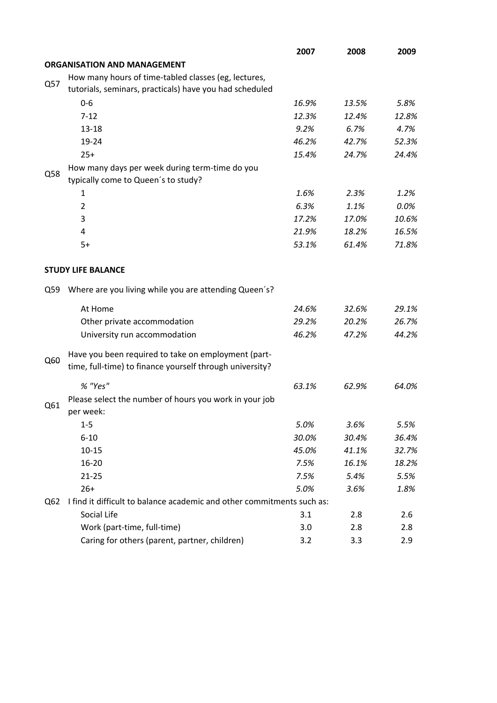|     |                                                                        | 2007  | 2008  | 2009  |
|-----|------------------------------------------------------------------------|-------|-------|-------|
|     | <b>ORGANISATION AND MANAGEMENT</b>                                     |       |       |       |
|     | How many hours of time-tabled classes (eg, lectures,                   |       |       |       |
| Q57 | tutorials, seminars, practicals) have you had scheduled                |       |       |       |
|     | $0 - 6$                                                                | 16.9% | 13.5% | 5.8%  |
|     | $7 - 12$                                                               | 12.3% | 12.4% | 12.8% |
|     | $13 - 18$                                                              | 9.2%  | 6.7%  | 4.7%  |
|     | 19-24                                                                  | 46.2% | 42.7% | 52.3% |
|     | $25+$                                                                  | 15.4% | 24.7% | 24.4% |
|     | How many days per week during term-time do you                         |       |       |       |
| Q58 | typically come to Queen's to study?                                    |       |       |       |
|     | 1                                                                      | 1.6%  | 2.3%  | 1.2%  |
|     | $\overline{2}$                                                         | 6.3%  | 1.1%  | 0.0%  |
|     | 3                                                                      | 17.2% | 17.0% | 10.6% |
|     | 4                                                                      | 21.9% | 18.2% | 16.5% |
|     | $5+$                                                                   | 53.1% | 61.4% | 71.8% |
|     |                                                                        |       |       |       |
|     | <b>STUDY LIFE BALANCE</b>                                              |       |       |       |
| Q59 | Where are you living while you are attending Queen's?                  |       |       |       |
|     | At Home                                                                | 24.6% | 32.6% | 29.1% |
|     | Other private accommodation                                            | 29.2% | 20.2% | 26.7% |
|     | University run accommodation                                           | 46.2% | 47.2% | 44.2% |
| Q60 | Have you been required to take on employment (part-                    |       |       |       |
|     | time, full-time) to finance yourself through university?               |       |       |       |
|     | % "Yes"                                                                | 63.1% | 62.9% | 64.0% |
| Q61 | Please select the number of hours you work in your job<br>per week:    |       |       |       |
|     | $1-5$                                                                  | 5.0%  | 3.6%  | 5.5%  |
|     | $6 - 10$                                                               | 30.0% | 30.4% | 36.4% |
|     | $10 - 15$                                                              | 45.0% | 41.1% | 32.7% |
|     | 16-20                                                                  | 7.5%  | 16.1% | 18.2% |
|     | $21 - 25$                                                              | 7.5%  | 5.4%  | 5.5%  |
|     | $26+$                                                                  | 5.0%  | 3.6%  | 1.8%  |
| Q62 | I find it difficult to balance academic and other commitments such as: |       |       |       |
|     | Social Life                                                            | 3.1   | 2.8   | 2.6   |
|     | Work (part-time, full-time)                                            | 3.0   | 2.8   | 2.8   |
|     | Caring for others (parent, partner, children)                          | 3.2   | 3.3   | 2.9   |